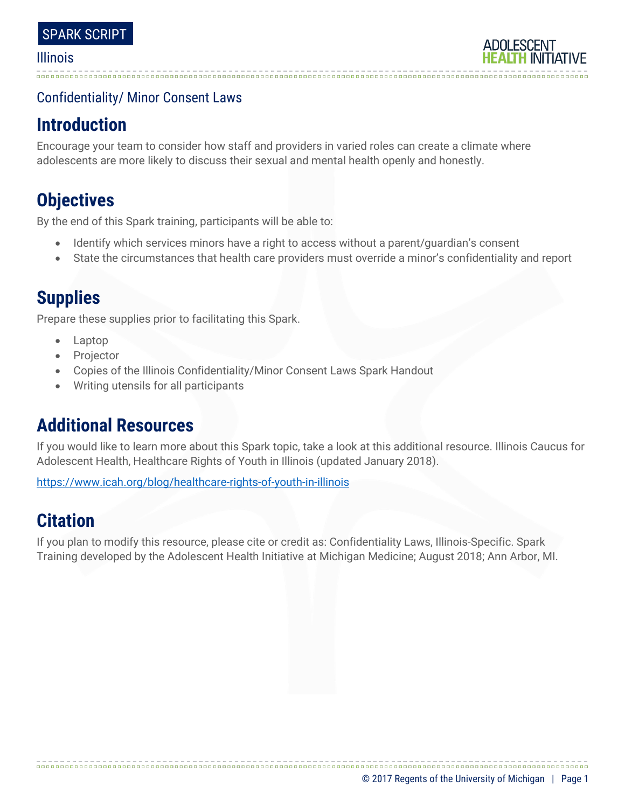## Confidentiality/ Minor Consent Laws

## **Introduction**

Encourage your team to consider how staff and providers in varied roles can create a climate where adolescents are more likely to discuss their sexual and mental health openly and honestly.

# **Objectives**

By the end of this Spark training, participants will be able to:

- Identify which services minors have a right to access without a parent/guardian's consent
- State the circumstances that health care providers must override a minor's confidentiality and report

## **Supplies**

Prepare these supplies prior to facilitating this Spark.

- Laptop
- Projector
- Copies of the Illinois Confidentiality/Minor Consent Laws Spark Handout
- Writing utensils for all participants

## **Additional Resources**

If you would like to learn more about this Spark topic, take a look at this additional resource. Illinois Caucus for Adolescent Health, Healthcare Rights of Youth in Illinois (updated January 2018).

<https://www.icah.org/blog/healthcare-rights-of-youth-in-illinois>

# **Citation**

If you plan to modify this resource, please cite or credit as: Confidentiality Laws, Illinois-Specific. Spark Training developed by the Adolescent Health Initiative at Michigan Medicine; August 2018; Ann Arbor, MI.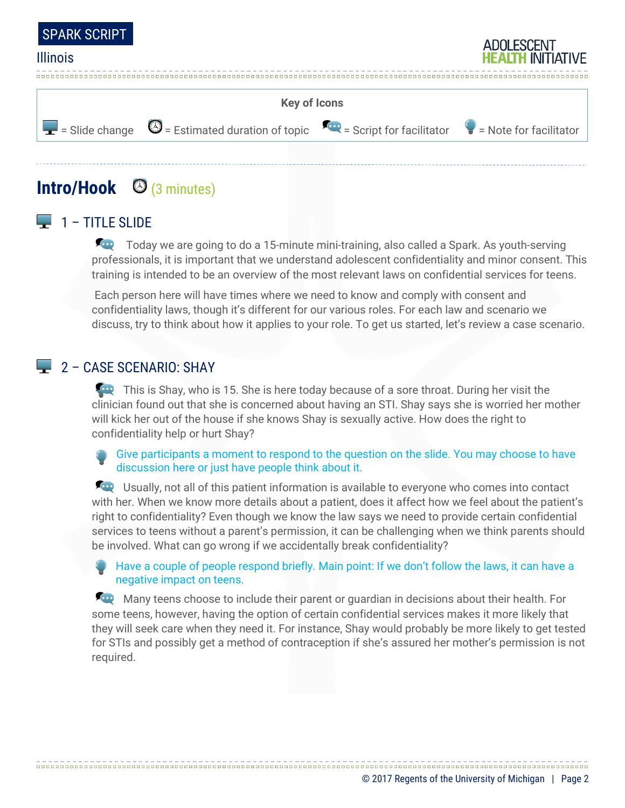



## **Intro/Hook** (3 minutes)

### $\Box$  1 – TITLE SLIDE

Today we are going to do a 15-minute mini-training, also called a Spark. As youth-serving professionals, it is important that we understand adolescent confidentiality and minor consent. This training is intended to be an overview of the most relevant laws on confidential services for teens.

Each person here will have times where we need to know and comply with consent and confidentiality laws, though it's different for our various roles. For each law and scenario we discuss, try to think about how it applies to your role. To get us started, let's review a case scenario.

#### 2 - CASE SCENARIO: SHAY

This is Shay, who is 15. She is here today because of a sore throat. During her visit the clinician found out that she is concerned about having an STI. Shay says she is worried her mother will kick her out of the house if she knows Shay is sexually active. How does the right to confidentiality help or hurt Shay?

Give participants a moment to respond to the question on the slide. You may choose to have discussion here or just have people think about it.

Usually, not all of this patient information is available to everyone who comes into contact with her. When we know more details about a patient, does it affect how we feel about the patient's right to confidentiality? Even though we know the law says we need to provide certain confidential services to teens without a parent's permission, it can be challenging when we think parents should be involved. What can go wrong if we accidentally break confidentiality?

Have a couple of people respond briefly. Main point: If we don't follow the laws, it can have a negative impact on teens.

Many teens choose to include their parent or guardian in decisions about their health. For some teens, however, having the option of certain confidential services makes it more likely that they will seek care when they need it. For instance, Shay would probably be more likely to get tested for STIs and possibly get a method of contraception if she's assured her mother's permission is not required.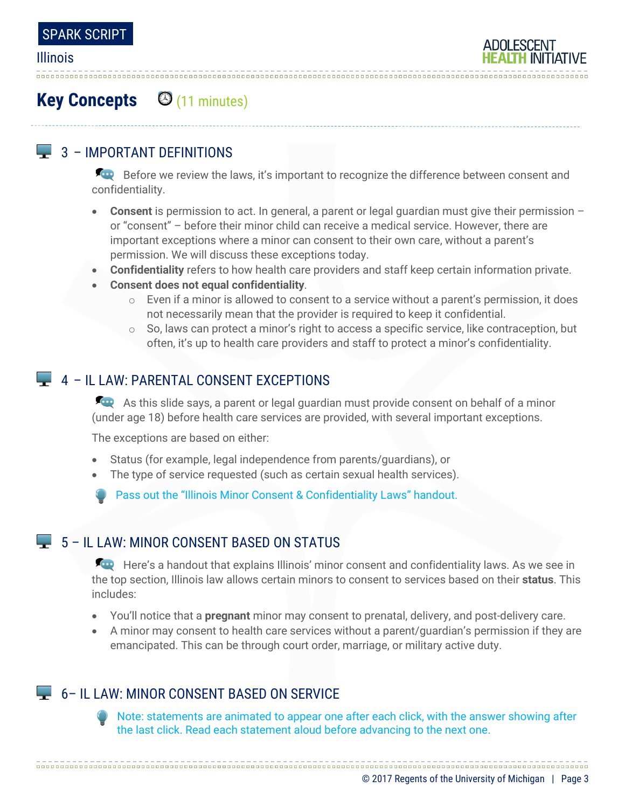# **Key Concepts** (11 minutes)

## $\Box$  3 – IMPORTANT DEFINITIONS

Before we review the laws, it's important to recognize the difference between consent and confidentiality.

- **Consent** is permission to act. In general, a parent or legal guardian must give their permission or "consent" – before their minor child can receive a medical service. However, there are important exceptions where a minor can consent to their own care, without a parent's permission. We will discuss these exceptions today.
- **Confidentiality** refers to how health care providers and staff keep certain information private.
- **Consent does not equal confidentiality**.
	- $\circ$  Even if a minor is allowed to consent to a service without a parent's permission, it does not necessarily mean that the provider is required to keep it confidential.
	- $\circ$  So, laws can protect a minor's right to access a specific service, like contraception, but often, it's up to health care providers and staff to protect a minor's confidentiality.

### 4 – IL LAW: PARENTAL CONSENT EXCEPTIONS

As this slide says, a parent or legal guardian must provide consent on behalf of a minor (under age 18) before health care services are provided, with several important exceptions.

The exceptions are based on either:

- Status (for example, legal independence from parents/guardians), or
- The type of service requested (such as certain sexual health services).

Pass out the "Illinois Minor Consent & Confidentiality Laws" handout.

### $\Box$  5 – IL LAW: MINOR CONSENT BASED ON STATUS

Here's a handout that explains Illinois' minor consent and confidentiality laws. As we see in the top section, Illinois law allows certain minors to consent to services based on their **status**. This includes:

- You'll notice that a **pregnant** minor may consent to prenatal, delivery, and post-delivery care.
- A minor may consent to health care services without a parent/guardian's permission if they are emancipated. This can be through court order, marriage, or military active duty.

## 6 – IL LAW: MINOR CONSENT BASED ON SERVICE

Note: statements are animated to appear one after each click, with the answer showing after the last click. Read each statement aloud before advancing to the next one.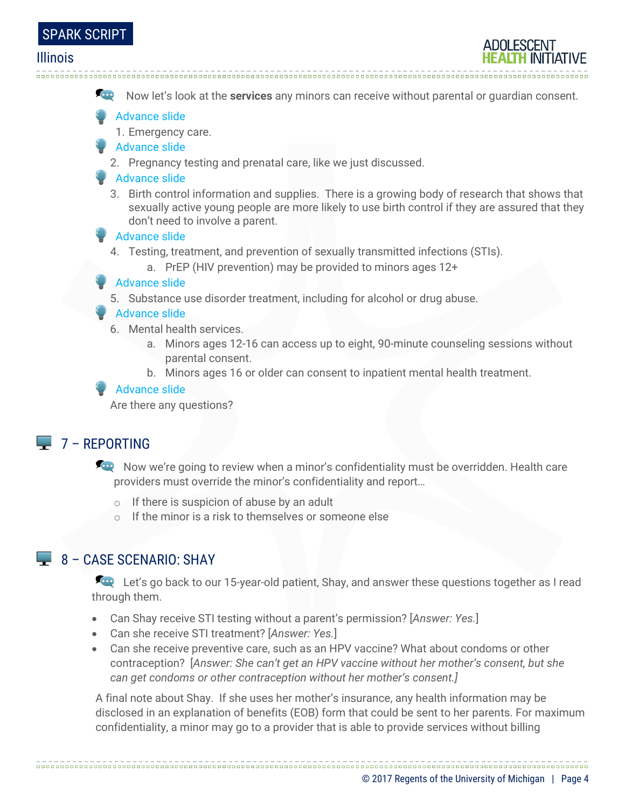

Now let's look at the **services** any minors can receive without parental or guardian consent.

Advance slide

- 1. Emergency care.
- Advance slide
	- 2. Pregnancy testing and prenatal care, like we just discussed.
- **Advance slide** 
	- 3. Birth control information and supplies. There is a growing body of research that shows that sexually active young people are more likely to use birth control if they are assured that they don't need to involve a parent.
- Advance slide
	- 4. Testing, treatment, and prevention of sexually transmitted infections (STIs).

a. PrEP (HIV prevention) may be provided to minors ages 12+

#### Advance slide

5. Substance use disorder treatment, including for alcohol or drug abuse.

#### Advance slide

- 6. Mental health services.
	- a. Minors ages 12-16 can access up to eight, 90-minute counseling sessions without parental consent.
	- b. Minors ages 16 or older can consent to inpatient mental health treatment.

#### Advance slide

Are there any questions?

### $7 - REPORTING$

Now we're going to review when a minor's confidentiality must be overridden. Health care providers must override the minor's confidentiality and report…

- o If there is suspicion of abuse by an adult
- o If the minor is a risk to themselves or someone else

## $\Box$  8 – CASE SCENARIO: SHAY

Let's go back to our 15-year-old patient, Shay, and answer these questions together as I read through them.

- Can Shay receive STI testing without a parent's permission? [*Answer: Yes.*]
- Can she receive STI treatment? [*Answer: Yes.*]
- Can she receive preventive care, such as an HPV vaccine? What about condoms or other contraception? [*Answer: She can't get an HPV vaccine without her mother's consent, but she can get condoms or other contraception without her mother's consent.]*

A final note about Shay. If she uses her mother's insurance, any health information may be disclosed in an explanation of benefits (EOB) form that could be sent to her parents. For maximum confidentiality, a minor may go to a provider that is able to provide services without billing